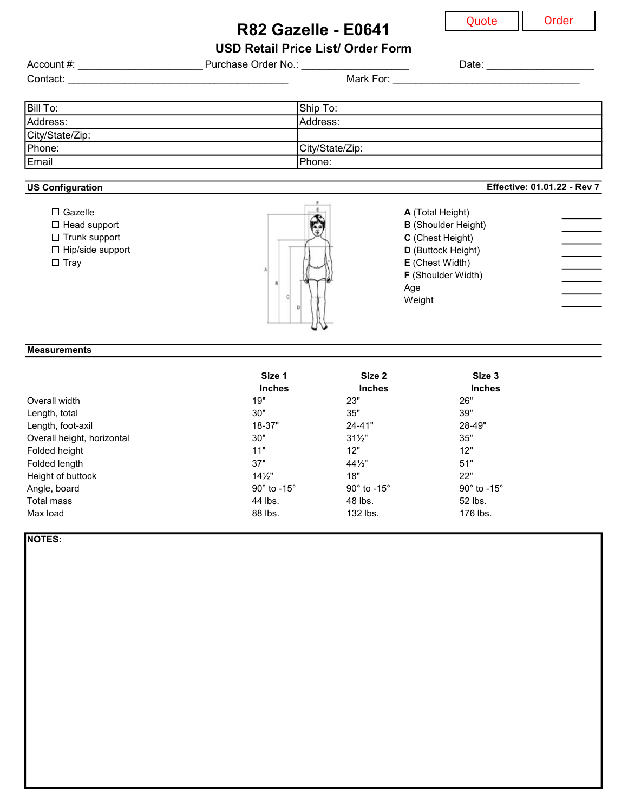## R82 Gazelle - E0641

Quote || Order

Effective: 01.01.22 - Rev 7

USD Retail Price List/ Order Form

| Account #:      | Purchase Order No.: | Date:     |  |
|-----------------|---------------------|-----------|--|
| Contact:        |                     | Mark For: |  |
|                 |                     |           |  |
| Bill To:        | Ship To:            |           |  |
| Address:        | Address:            |           |  |
| City/State/Zip: |                     |           |  |
| Phone:          | City/State/Zip:     |           |  |
| Email           | Phone:              |           |  |

#### US Configuration



### **Measurements**

|                            | Size 1                          | Size 2                    | Size 3                        |
|----------------------------|---------------------------------|---------------------------|-------------------------------|
|                            | <b>Inches</b>                   | <b>Inches</b>             | <b>Inches</b>                 |
| Overall width              | 19"                             | 23"                       | 26"                           |
| Length, total              | 30"                             | 35"                       | 39"                           |
| Length, foot-axil          | 18-37"                          | $24 - 41"$                | 28-49"                        |
| Overall height, horizontal | 30"                             | $31\frac{1}{2}$           | 35"                           |
| Folded height              | 11"                             | 12"                       | 12"                           |
| Folded length              | 37"                             | $44\frac{1}{2}$           | 51"                           |
| Height of buttock          | $14\frac{1}{2}$                 | 18"                       | 22"                           |
| Angle, board               | 90 $^{\circ}$ to -15 $^{\circ}$ | $90^\circ$ to $-15^\circ$ | 90 $\degree$ to -15 $\degree$ |
| Total mass                 | 44 lbs.                         | 48 lbs.                   | 52 lbs.                       |
| Max load                   | 88 lbs.                         | 132 lbs.                  | 176 lbs.                      |

NOTES: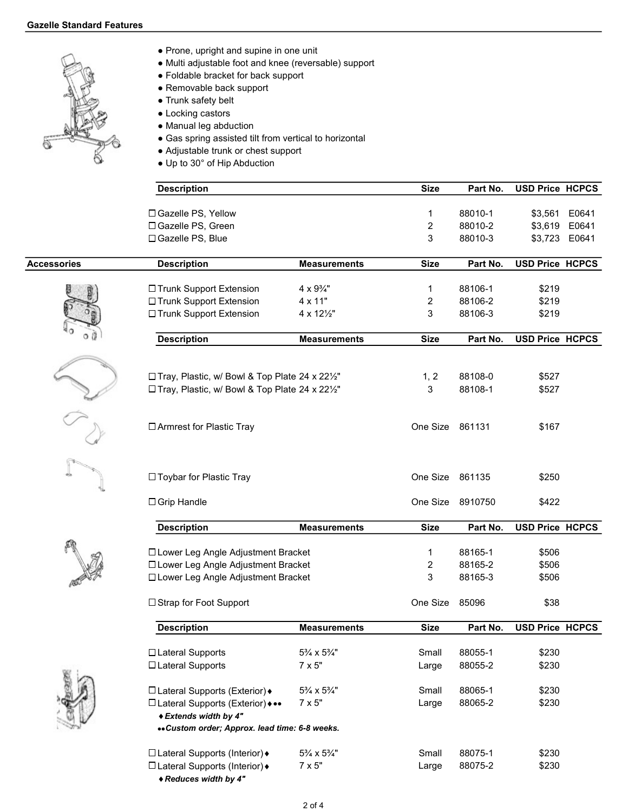

- Prone, upright and supine in one unit
- Multi adjustable foot and knee (reversable) support
- Foldable bracket for back support
- Removable back support
- Trunk safety belt
- Locking castors
- Manual leg abduction
- Gas spring assisted tilt from vertical to horizontal
- Adjustable trunk or chest support
- Up to 30° of Hip Abduction

|             | <b>Description</b>                                         |                                                                              | <b>Size</b>     | Part No. | <b>USD Price HCPCS</b> |               |
|-------------|------------------------------------------------------------|------------------------------------------------------------------------------|-----------------|----------|------------------------|---------------|
|             | □ Gazelle PS, Yellow                                       |                                                                              | 1               | 88010-1  | \$3,561                | E0641         |
|             | □ Gazelle PS, Green                                        |                                                                              | 2               | 88010-2  |                        | \$3,619 E0641 |
|             | □ Gazelle PS, Blue                                         |                                                                              | 3               | 88010-3  |                        | \$3,723 E0641 |
| Accessories | <b>Description</b>                                         | <b>Measurements</b>                                                          | <b>Size</b>     | Part No. | <b>USD Price HCPCS</b> |               |
|             | □ Trunk Support Extension                                  | $4 \times 9\frac{3}{4}$ "                                                    | 1               | 88106-1  | \$219                  |               |
|             | □ Trunk Support Extension                                  | 4 x 11"                                                                      | 2               | 88106-2  | \$219                  |               |
|             | □ Trunk Support Extension                                  | 4 x 121/2"                                                                   | 3               | 88106-3  | \$219                  |               |
|             | <b>Description</b>                                         | <b>Measurements</b>                                                          | <b>Size</b>     | Part No. | <b>USD Price HCPCS</b> |               |
|             |                                                            |                                                                              |                 |          |                        |               |
|             | □ Tray, Plastic, w/ Bowl & Top Plate 24 x 221/2"           |                                                                              | 1, 2            | 88108-0  | \$527                  |               |
|             | □ Tray, Plastic, w/ Bowl & Top Plate 24 x 221/2"           |                                                                              | 3               | 88108-1  | \$527                  |               |
|             |                                                            |                                                                              |                 |          |                        |               |
|             | □ Armrest for Plastic Tray                                 |                                                                              | One Size 861131 |          | \$167                  |               |
|             | □ Toybar for Plastic Tray                                  |                                                                              | One Size        | 861135   | \$250                  |               |
|             | $\Box$ Grip Handle                                         |                                                                              | One Size        | 8910750  | \$422                  |               |
|             | <b>Description</b>                                         | <b>Measurements</b>                                                          | <b>Size</b>     | Part No. | <b>USD Price HCPCS</b> |               |
|             | □ Lower Leg Angle Adjustment Bracket                       |                                                                              |                 | 88165-1  | \$506                  |               |
|             |                                                            |                                                                              | 1<br>2          | 88165-2  | \$506                  |               |
|             |                                                            | □ Lower Leg Angle Adjustment Bracket<br>□ Lower Leg Angle Adjustment Bracket |                 | 88165-3  | \$506                  |               |
|             | □ Strap for Foot Support                                   |                                                                              | One Size        | 85096    | \$38                   |               |
|             | <b>Description</b>                                         | <b>Measurements</b>                                                          | <b>Size</b>     | Part No. | <b>USD Price HCPCS</b> |               |
|             |                                                            |                                                                              |                 |          |                        |               |
|             | □ Lateral Supports                                         | 5% x 5%"                                                                     | Small           | 88055-1  | \$230                  |               |
|             | □ Lateral Supports                                         | $7 \times 5"$                                                                | Large           | 88055-2  | \$230                  |               |
|             | □ Lateral Supports (Exterior) +                            | 5% x 5%"                                                                     | Small           | 88065-1  | \$230                  |               |
|             | □ Lateral Supports (Exterior) •••<br>◆ Extends width by 4" | $7 \times 5"$                                                                | Large           | 88065-2  | \$230                  |               |
|             | «Custom order; Approx. lead time: 6-8 weeks.               |                                                                              |                 |          |                        |               |
|             | □ Lateral Supports (Interior) +                            | 5% x 5%"                                                                     | Small           | 88075-1  | \$230                  |               |
|             | □ Lateral Supports (Interior) +                            | $7 \times 5"$                                                                | Large           | 88075-2  | \$230                  |               |

Reduces width by 4"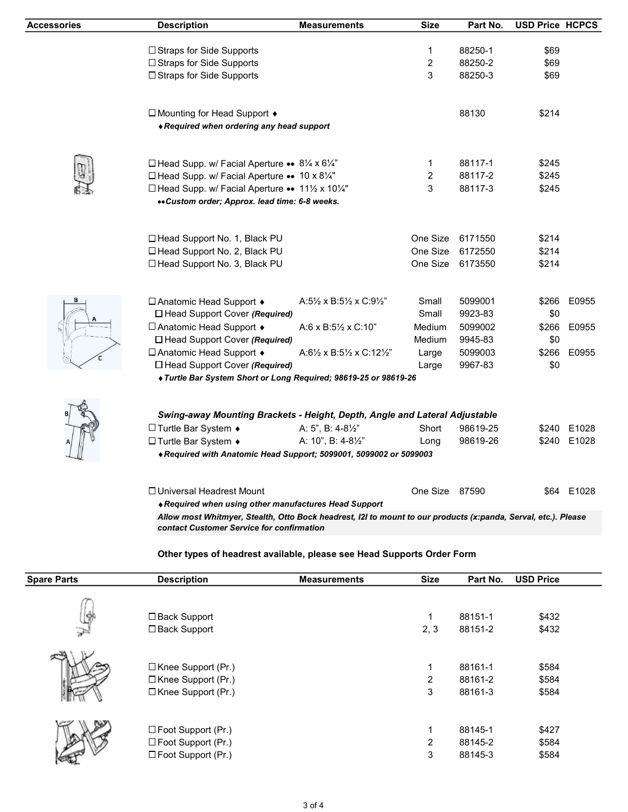| <b>Accessories</b> | <b>Description</b>                                                                                                                                          | <b>Measurements</b>                                          | <b>Size</b>    | Part No.         | <b>USD Price HCPCS</b> |             |
|--------------------|-------------------------------------------------------------------------------------------------------------------------------------------------------------|--------------------------------------------------------------|----------------|------------------|------------------------|-------------|
|                    | □ Straps for Side Supports                                                                                                                                  |                                                              | 1              | 88250-1          | \$69                   |             |
|                    | □ Straps for Side Supports                                                                                                                                  |                                                              | $\overline{c}$ | 88250-2          | \$69                   |             |
|                    | □ Straps for Side Supports                                                                                                                                  |                                                              | 3              | 88250-3          | \$69                   |             |
|                    |                                                                                                                                                             |                                                              |                |                  |                        |             |
|                    | □ Mounting for Head Support ♦                                                                                                                               |                                                              |                | 88130            | \$214                  |             |
|                    | ◆ Required when ordering any head support                                                                                                                   |                                                              |                |                  |                        |             |
|                    | □ Head Supp. w/ Facial Aperture •• 81/4 x 61/4"                                                                                                             |                                                              | 1              | 88117-1          | \$245                  |             |
|                    |                                                                                                                                                             |                                                              |                | 88117-2          | \$245                  |             |
|                    | □ Head Supp. w/ Facial Aperture •• 10 x 81/4"                                                                                                               |                                                              | 2<br>3         |                  |                        |             |
|                    | □ Head Supp. w/ Facial Aperture •• 11½ x 10¼"                                                                                                               |                                                              |                | 88117-3          | \$245                  |             |
|                    | «Custom order; Approx. lead time: 6-8 weeks.                                                                                                                |                                                              |                |                  |                        |             |
|                    | □ Head Support No. 1, Black PU                                                                                                                              |                                                              | One Size       | 6171550          | \$214                  |             |
|                    | □ Head Support No. 2, Black PU                                                                                                                              |                                                              | One Size       | 6172550          | \$214                  |             |
|                    | □ Head Support No. 3, Black PU                                                                                                                              |                                                              |                | One Size 6173550 | \$214                  |             |
|                    | □ Anatomic Head Support +                                                                                                                                   | A:5 $\frac{1}{2}$ x B:5 $\frac{1}{2}$ x C:9 $\frac{1}{2}$ "  | Small          | 5099001          | \$266                  | E0955       |
|                    | □ Head Support Cover (Required)                                                                                                                             |                                                              | Small          | 9923-83          | \$0                    |             |
|                    | □ Anatomic Head Support •                                                                                                                                   | A:6 x B:51/2 x C:10"                                         | Medium         | 5099002          | \$266                  | E0955       |
|                    | □ Head Support Cover (Required)                                                                                                                             |                                                              | Medium         | 9945-83          | \$0                    |             |
|                    | □ Anatomic Head Support +                                                                                                                                   | A:6 $\frac{1}{2}$ x B:5 $\frac{1}{2}$ x C:12 $\frac{1}{2}$ " | Large          | 5099003          | \$266                  | E0955       |
|                    | $\Box$ Head Support Cover (Required)                                                                                                                        |                                                              | Large          | 9967-83          | \$0                    |             |
|                    | Turtle Bar System Short or Long Required; 98619-25 or 98619-26                                                                                              |                                                              |                |                  |                        |             |
|                    |                                                                                                                                                             |                                                              |                |                  |                        |             |
|                    | Swing-away Mounting Brackets - Height, Depth, Angle and Lateral Adjustable                                                                                  |                                                              |                |                  |                        |             |
|                    | □ Turtle Bar System $\bullet$                                                                                                                               | A: 5", B: 4-81/2"                                            | Short          | 98619-25         |                        | \$240 E1028 |
|                    | □ Turtle Bar System +                                                                                                                                       | A: 10", B: 4-81/2"                                           | Long           | 98619-26         |                        | \$240 E1028 |
|                    | ◆ Required with Anatomic Head Support; 5099001, 5099002 or 5099003                                                                                          |                                                              |                |                  |                        |             |
|                    | □ Universal Headrest Mount                                                                                                                                  |                                                              | One Size 87590 |                  |                        | \$64 E1028  |
|                    | ◆ Required when using other manufactures Head Support                                                                                                       |                                                              |                |                  |                        |             |
|                    | Allow most Whitmyer, Stealth, Otto Bock headrest, I2I to mount to our products (x:panda, Serval, etc.). Please<br>contact Customer Service for confirmation |                                                              |                |                  |                        |             |
|                    |                                                                                                                                                             |                                                              |                |                  |                        |             |
|                    | Other types of headrest available, please see Head Supports Order Form                                                                                      |                                                              |                |                  |                        |             |

| <b>Spare Parts</b> | <b>Description</b>                                                        | <b>Measurements</b> | <b>Size</b>                         | Part No.                      | <b>USD Price</b>        |  |
|--------------------|---------------------------------------------------------------------------|---------------------|-------------------------------------|-------------------------------|-------------------------|--|
| ≫                  | $\Box$ Back Support<br>□ Back Support                                     |                     | 1<br>2, 3                           | 88151-1<br>88151-2            | \$432<br>\$432          |  |
|                    | □ Knee Support (Pr.)<br>□ Knee Support (Pr.)<br>$\Box$ Knee Support (Pr.) |                     | $\mathbf{1}$<br>$\overline{2}$<br>3 | 88161-1<br>88161-2<br>88161-3 | \$584<br>\$584<br>\$584 |  |
|                    | □ Foot Support (Pr.)<br>□ Foot Support (Pr.)<br>□ Foot Support (Pr.)      |                     | 1<br>$\overline{2}$<br>3            | 88145-1<br>88145-2<br>88145-3 | \$427<br>\$584<br>\$584 |  |